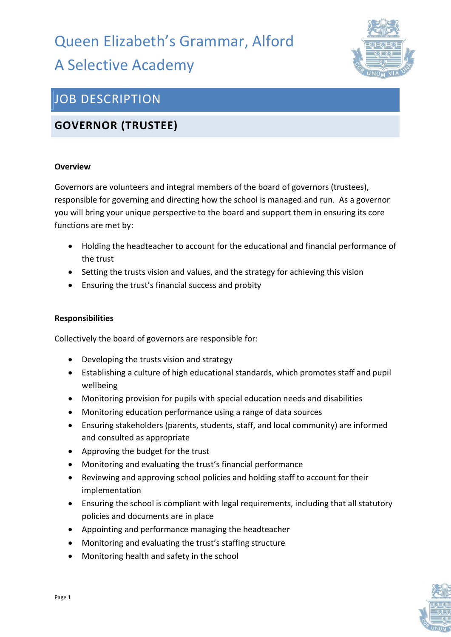# Queen Elizabeth's Grammar, Alford A Selective Academy



## JOB DESCRIPTION

### GOVERNOR (TRUSTEE)

#### **Overview**

Governors are volunteers and integral members of the board of governors (trustees), responsible for governing and directing how the school is managed and run. As a governor you will bring your unique perspective to the board and support them in ensuring its core functions are met by:

- Holding the headteacher to account for the educational and financial performance of the trust
- Setting the trusts vision and values, and the strategy for achieving this vision
- Ensuring the trust's financial success and probity

#### Responsibilities

Collectively the board of governors are responsible for:

- Developing the trusts vision and strategy
- Establishing a culture of high educational standards, which promotes staff and pupil wellbeing
- Monitoring provision for pupils with special education needs and disabilities
- Monitoring education performance using a range of data sources
- Ensuring stakeholders (parents, students, staff, and local community) are informed and consulted as appropriate
- Approving the budget for the trust
- Monitoring and evaluating the trust's financial performance
- Reviewing and approving school policies and holding staff to account for their implementation
- Ensuring the school is compliant with legal requirements, including that all statutory policies and documents are in place
- Appointing and performance managing the headteacher
- Monitoring and evaluating the trust's staffing structure
- Monitoring health and safety in the school